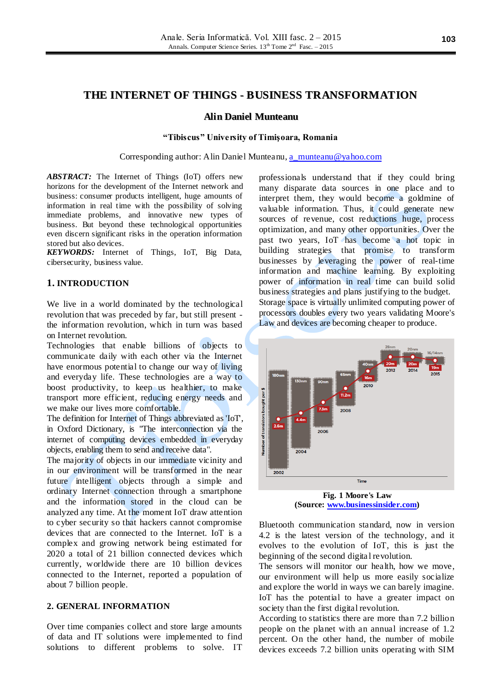# **THE INTERNET OF THINGS - BUSINESS TRANSFORMATION**

### **Alin Daniel Munteanu**

#### **"Tibiscus" University of Timişoara, Romania**

Corresponding author: Alin Daniel Munteanu, [a\\_munteanu@yahoo.com](mailto:a_munteanu@yahoo.com)

*ABSTRACT:* The Internet of Things (IoT) offers new horizons for the development of the Internet network and business: consumer products intelligent, huge amounts of information in real time with the possibility of solving immediate problems, and innovative new types of business. But beyond these technological opportunities even discern significant risks in the operation information stored but also devices.

*KEYWORDS:* Internet of Things, IoT, Big Data, cibersecurity, business value.

#### **1. INTRODUCTION**

We live in a world dominated by the technological revolution that was preceded by far, but still present the information revolution, which in turn was based on Internet revolution.

Technologies that enable billions of objects to communicate daily with each other via the Internet have enormous potential to change our way of living and everyday life. These technologies are a way to boost productivity, to keep us healthier, to make transport more efficient, reducing energy needs and we make our lives more comfortable.

The definition for Internet of Things abbreviated as 'IoT', in Oxford Dictionary, is "The interconnection via the internet of computing devices embedded in everyday objects, enabling them to send and receive data".

The majority of objects in our immediate vicinity and in our environment will be transformed in the near future intelligent objects through a simple and ordinary Internet connection through a smartphone and the information stored in the cloud can be analyzed any time. At the moment IoT draw attention to cyber security so that hackers cannot compromise devices that are connected to the Internet. IoT is a complex and growing network being estimated for 2020 a total of 21 billion connected devices which currently, worldwide there are 10 billion devices connected to the Internet, reported a population of about 7 billion people.

## **2. GENERAL INFORMATION**

Over time companies collect and store large amounts of data and IT solutions were implemented to find solutions to different problems to solve. IT

professionals understand that if they could bring many disparate data sources in one place and to interpret them, they would become a goldmine of valuable information. Thus, it could generate new sources of revenue, cost reductions huge, process optimization, and many other opportunities. Over the past two years, IoT has become a hot topic in building strategies that promise to transform businesses by leveraging the power of real-time information and machine learning. By exploiting power of information in real time can build solid business strategies and plans justifying to the budget. Storage space is virtually unlimited computing power of processors doubles every two years validating Moore's Law and devices are becoming cheaper to produce.



**Fig. 1 Moore's Law (Source: [www.businessinsider.com\)](http://www.businessinsider.com/)**

Bluetooth communication standard, now in version 4.2 is the latest version of the technology, and it evolves to the evolution of IoT, this is just the beginning of the second digita l revolution.

The sensors will monitor our health, how we move, our environment will help us more easily socialize and explore the world in ways we can barely imagine. IoT has the potential to have a greater impact on society than the first digital revolution.

According to statistics there are more than 7.2 billion people on the planet with an annual increase of 1.2 percent. On the other hand, the number of mobile devices exceeds 7.2 billion units operating with SIM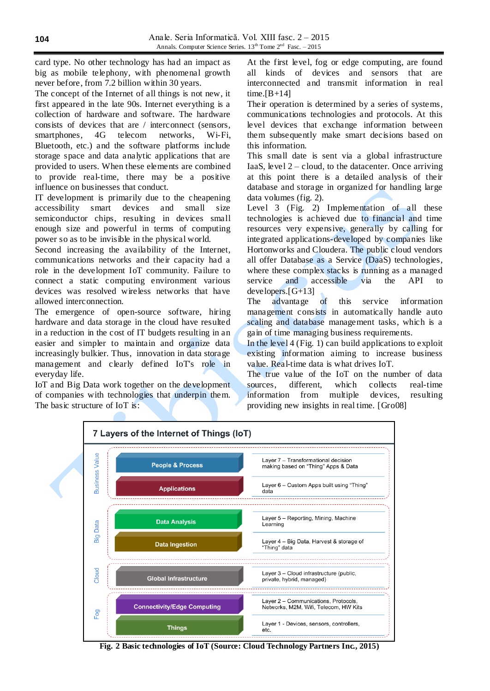card type. No other technology has had an impact as big as mobile telephony, with phenomenal growth never before, from 7.2 billion within 30 years.

The concept of the Internet of all things is not new, it first appeared in the late 90s. Internet everything is a collection of hardware and software. The hardware consists of devices that are / interconnect (sensors, smartphones, 4G telecom networks, Wi-Fi, Bluetooth, etc.) and the software platforms include storage space and data analytic applications that are provided to users. When these elements are combined to provide real-time, there may be a positive influence on businesses that conduct.

IT development is primarily due to the cheapening accessibility smart devices and small size semiconductor chips, resulting in devices small enough size and powerful in terms of computing power so as to be invisible in the physical world.

Second increasing the availability of the Internet, communications networks and their capacity had a role in the development IoT community. Failure to connect a static computing environment various devices was resolved wireless networks that have allowed interconnection.

The emergence of open-source software, hiring hardware and data storage in the cloud have resulted in a reduction in the cost of IT budgets resulting in an easier and simpler to maintain and organize data increasingly bulkier. Thus, innovation in data storage management and clearly defined IoT's role in everyday life.

IoT and Big Data work together on the development of companies with technologies that underpin them. The basic structure of IoT is:

At the first level, fog or edge computing, are found all kinds of devices and sensors that are interconnected and transmit information in real time. $[B+14]$ 

Their operation is determined by a series of systems, communications technologies and protocols. At this level devices that exchange information between them subsequently make smart decisions based on this information.

This small date is sent via a global infrastructure IaaS, level  $2 -$ cloud, to the datacenter. Once arriving at this point there is a detailed analysis of their database and storage in organized for handling large data volumes (fig. 2).

Level 3 (Fig. 2) Implementation of all these technologies is achieved due to financial and time resources very expensive, generally by calling for integrated applications-developed by companies like Hortonworks and Cloudera. The public cloud vendors all offer Database as a Service (DaaS) technologies, where these complex stacks is running as a managed service and accessible via the API to developers.[G+13]

The advantage of this service information management consists in automatically handle auto scaling and database management tasks, which is a gain of time managing business requirements.

In the level 4 (Fig. 1) can build applications to exploit existing information aiming to increase business value. Real-time data is what drives IoT.

The true value of the IoT on the number of data sources, different, which collects real-time information from multiple devices, resulting providing new insights in real time. [Gro08]



**Fig. 2 Basic technologies of IoT (Source: Cloud Technology Partners Inc., 2015)**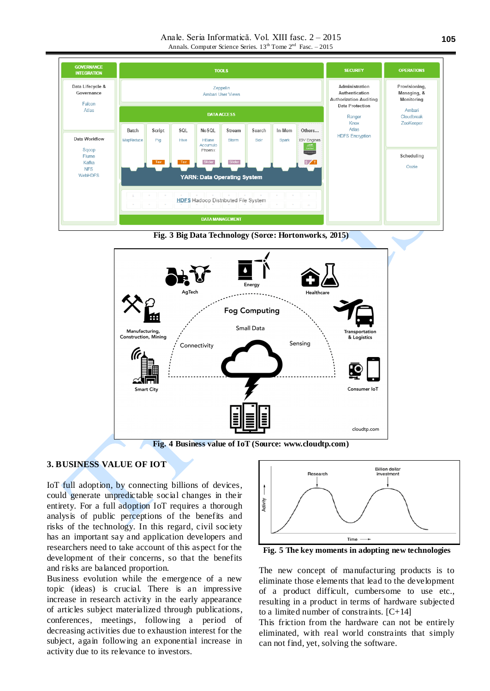Anale. Seria Informatică. Vol. XIII fasc. 2 – 2015 Annals. Computer Science Series.  $13^{th}$  Tome  $2^{nd}$  Fasc.  $-2015$ 







## **3. BUSINESS VALUE OF IOT**

IoT full adoption, by connecting billions of devices, could generate unpredictable social changes in their entirety. For a full adoption IoT requires a thorough analysis of public perceptions of the benefits and risks of the technology. In this regard, civil society has an important say and application developers and researchers need to take account of this aspect for the development of their concerns, so that the benefits and risks are balanced proportion.

Business evolution while the emergence of a new topic (ideas) is crucial. There is an impressive increase in research activity in the early appearance of articles subject materialized through publications, conferences, meetings, following a period of decreasing activities due to exhaustion interest for the subject, again following an exponential increase in activity due to its relevance to investors.



**Fig. 5 The key moments in adopting new technologies**

The new concept of manufacturing products is to eliminate those elements that lead to the development of a product difficult, cumbersome to use etc., resulting in a product in terms of hardware subjected to a limited number of constraints.  $[C+14]$ 

This friction from the hardware can not be entirely eliminated, with real world constraints that simply can not find, yet, solving the software.